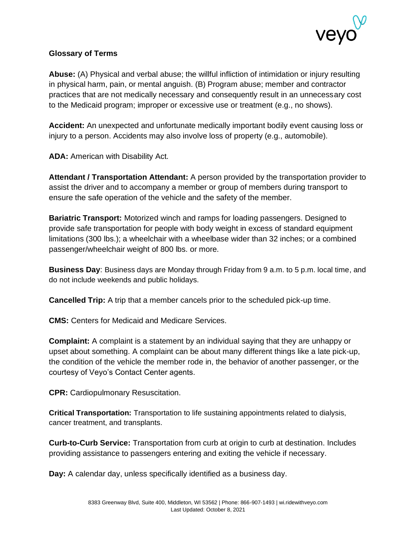

## **Glossary of Terms**

**Abuse:** (A) Physical and verbal abuse; the willful infliction of intimidation or injury resulting in physical harm, pain, or mental anguish. (B) Program abuse; member and contractor practices that are not medically necessary and consequently result in an unnecessary cost to the Medicaid program; improper or excessive use or treatment (e.g., no shows).

**Accident:** An unexpected and unfortunate medically important bodily event causing loss or injury to a person. Accidents may also involve loss of property (e.g., automobile).

**ADA:** American with Disability Act.

**Attendant / Transportation Attendant:** A person provided by the transportation provider to assist the driver and to accompany a member or group of members during transport to ensure the safe operation of the vehicle and the safety of the member.

**Bariatric Transport:** Motorized winch and ramps for loading passengers. Designed to provide safe transportation for people with body weight in excess of standard equipment limitations (300 lbs.); a wheelchair with a wheelbase wider than 32 inches; or a combined passenger/wheelchair weight of 800 lbs. or more.

**Business Day**: Business days are Monday through Friday from 9 a.m. to 5 p.m. local time, and do not include weekends and public holidays.

**Cancelled Trip:** A trip that a member cancels prior to the scheduled pick-up time.

**CMS:** Centers for Medicaid and Medicare Services.

**Complaint:** A complaint is a statement by an individual saying that they are unhappy or upset about something. A complaint can be about many different things like a late pick-up, the condition of the vehicle the member rode in, the behavior of another passenger, or the courtesy of Veyo's Contact Center agents.

**CPR:** Cardiopulmonary Resuscitation.

**Critical Transportation:** Transportation to life sustaining appointments related to dialysis, cancer treatment, and transplants.

**Curb-to-Curb Service:** Transportation from curb at origin to curb at destination. Includes providing assistance to passengers entering and exiting the vehicle if necessary.

**Day:** A calendar day, unless specifically identified as a business day.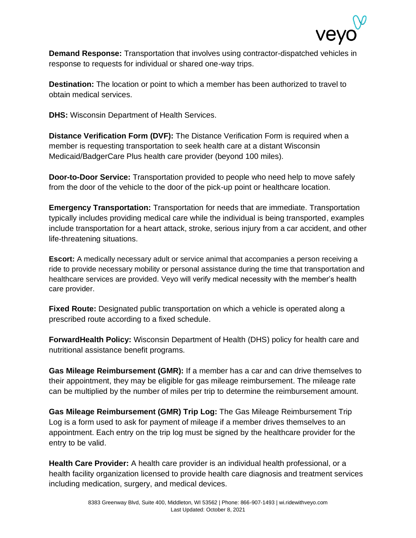

**Demand Response:** Transportation that involves using contractor-dispatched vehicles in response to requests for individual or shared one-way trips.

**Destination:** The location or point to which a member has been authorized to travel to obtain medical services.

**DHS:** Wisconsin Department of Health Services.

**Distance Verification Form (DVF):** The Distance Verification Form is required when a member is requesting transportation to seek health care at a distant Wisconsin Medicaid/BadgerCare Plus health care provider (beyond 100 miles).

**Door-to-Door Service:** Transportation provided to people who need help to move safely from the door of the vehicle to the door of the pick-up point or healthcare location.

**Emergency Transportation:** Transportation for needs that are immediate. Transportation typically includes providing medical care while the individual is being transported, examples include transportation for a heart attack, stroke, serious injury from a car accident, and other life-threatening situations.

**Escort:** A medically necessary adult or service animal that accompanies a person receiving a ride to provide necessary mobility or personal assistance during the time that transportation and healthcare services are provided. Veyo will verify medical necessity with the member's health care provider.

**Fixed Route:** Designated public transportation on which a vehicle is operated along a prescribed route according to a fixed schedule.

**ForwardHealth Policy:** Wisconsin Department of Health (DHS) policy for health care and nutritional assistance benefit programs.

**Gas Mileage Reimbursement (GMR):** If a member has a car and can drive themselves to their appointment, they may be eligible for gas mileage reimbursement. The mileage rate can be multiplied by the number of miles per trip to determine the reimbursement amount.

**Gas Mileage Reimbursement (GMR) Trip Log:** The Gas Mileage Reimbursement Trip Log is a form used to ask for payment of mileage if a member drives themselves to an appointment. Each entry on the trip log must be signed by the healthcare provider for the entry to be valid.

**Health Care Provider:** A health care provider is an individual health professional, or a health facility organization licensed to provide health care diagnosis and treatment services including medication, surgery, and medical devices.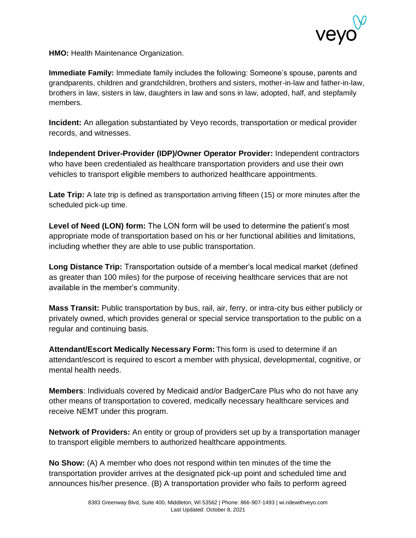

**HMO:** Health Maintenance Organization.

**Immediate Family:** Immediate family includes the following: Someone's spouse, parents and grandparents, children and grandchildren, brothers and sisters, mother-in-law and father-in-law, brothers in law, sisters in law, daughters in law and sons in law, adopted, half, and stepfamily members.

**Incident:** An allegation substantiated by Veyo records, transportation or medical provider records, and witnesses.

**Independent Driver-Provider (IDP)/Owner Operator Provider:** Independent contractors who have been credentialed as healthcare transportation providers and use their own vehicles to transport eligible members to authorized healthcare appointments.

**Late Trip:** A late trip is defined as transportation arriving fifteen (15) or more minutes after the scheduled pick-up time.

**Level of Need (LON) form:** The LON form will be used to determine the patient's most appropriate mode of transportation based on his or her functional abilities and limitations, including whether they are able to use public transportation.

**Long Distance Trip:** Transportation outside of a member's local medical market (defined as greater than 100 miles) for the purpose of receiving healthcare services that are not available in the member's community.

**Mass Transit:** Public transportation by bus, rail, air, ferry, or intra-city bus either publicly or privately owned, which provides general or special service transportation to the public on a regular and continuing basis.

**Attendant/Escort Medically Necessary Form:** This form is used to determine if an attendant/escort is required to escort a member with physical, developmental, cognitive, or mental health needs.

**Members**: Individuals covered by Medicaid and/or BadgerCare Plus who do not have any other means of transportation to covered, medically necessary healthcare services and receive NEMT under this program.

**Network of Providers:** An entity or group of providers set up by a transportation manager to transport eligible members to authorized healthcare appointments.

**No Show:** (A) A member who does not respond within ten minutes of the time the transportation provider arrives at the designated pick-up point and scheduled time and announces his/her presence. (B) A transportation provider who fails to perform agreed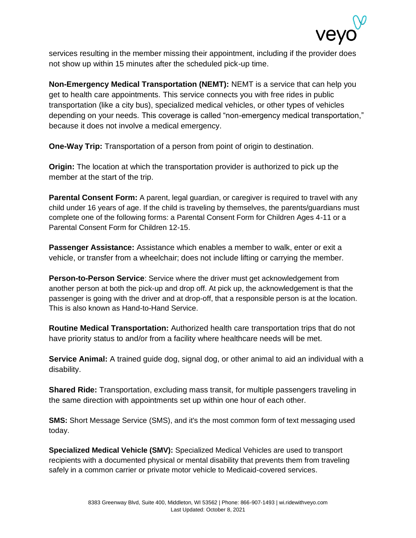

services resulting in the member missing their appointment, including if the provider does not show up within 15 minutes after the scheduled pick-up time.

**Non-Emergency Medical Transportation (NEMT):** NEMT is a service that can help you get to health care appointments. This service connects you with free rides in public transportation (like a city bus), specialized medical vehicles, or other types of vehicles depending on your needs. This coverage is called "non-emergency medical transportation," because it does not involve a medical emergency.

**One-Way Trip:** Transportation of a person from point of origin to destination.

**Origin:** The location at which the transportation provider is authorized to pick up the member at the start of the trip.

**Parental Consent Form:** A parent, legal guardian, or caregiver is required to travel with any child under 16 years of age. If the child is traveling by themselves, the parents/guardians must complete one of the following forms: a Parental Consent Form for Children Ages 4-11 or a Parental Consent Form for Children 12-15.

**Passenger Assistance:** Assistance which enables a member to walk, enter or exit a vehicle, or transfer from a wheelchair; does not include lifting or carrying the member.

**Person-to-Person Service**: Service where the driver must get acknowledgement from another person at both the pick-up and drop off. At pick up, the acknowledgement is that the passenger is going with the driver and at drop-off, that a responsible person is at the location. This is also known as Hand-to-Hand Service.

**Routine Medical Transportation:** Authorized health care transportation trips that do not have priority status to and/or from a facility where healthcare needs will be met.

**Service Animal:** A trained guide dog, signal dog, or other animal to aid an individual with a disability.

**Shared Ride:** Transportation, excluding mass transit, for multiple passengers traveling in the same direction with appointments set up within one hour of each other.

**SMS:** Short Message Service (SMS), and it's the most common form of text messaging used today.

**Specialized Medical Vehicle (SMV):** Specialized Medical Vehicles are used to transport recipients with a documented physical or mental disability that prevents them from traveling safely in a common carrier or private motor vehicle to Medicaid-covered services.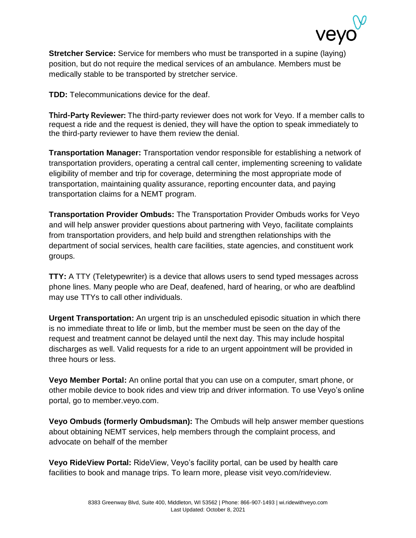

**Stretcher Service:** Service for members who must be transported in a supine (laying) position, but do not require the medical services of an ambulance. Members must be medically stable to be transported by stretcher service.

**TDD:** Telecommunications device for the deaf.

**Third-Party Reviewer:** The third-party reviewer does not work for Veyo. If a member calls to request a ride and the request is denied, they will have the option to speak immediately to the third-party reviewer to have them review the denial.

**Transportation Manager:** Transportation vendor responsible for establishing a network of transportation providers, operating a central call center, implementing screening to validate eligibility of member and trip for coverage, determining the most appropriate mode of transportation, maintaining quality assurance, reporting encounter data, and paying transportation claims for a NEMT program.

**Transportation Provider Ombuds:** The Transportation Provider Ombuds works for Veyo and will help answer provider questions about partnering with Veyo, facilitate complaints from transportation providers, and help build and strengthen relationships with the department of social services, health care facilities, state agencies, and constituent work groups.

**TTY:** A TTY (Teletypewriter) is a device that allows users to send typed messages across phone lines. Many people who are Deaf, deafened, hard of hearing, or who are deafblind may use TTYs to call other individuals.

**Urgent Transportation:** An urgent trip is an unscheduled episodic situation in which there is no immediate threat to life or limb, but the member must be seen on the day of the request and treatment cannot be delayed until the next day. This may include hospital discharges as well. Valid requests for a ride to an urgent appointment will be provided in three hours or less.

**Veyo Member Portal:** An online portal that you can use on a computer, smart phone, or other mobile device to book rides and view trip and driver information. To use Veyo's online portal, go to [member.veyo.com.](https://member.veyo.com/member-landing)

**Veyo Ombuds (formerly Ombudsman):** The Ombuds will help answer member questions about obtaining NEMT services, help members through the complaint process, and advocate on behalf of the member

**Veyo RideView Portal:** RideView, Veyo's facility portal, can be used by health care facilities to book and manage trips. To learn more, please visit veyo.com/rideview.